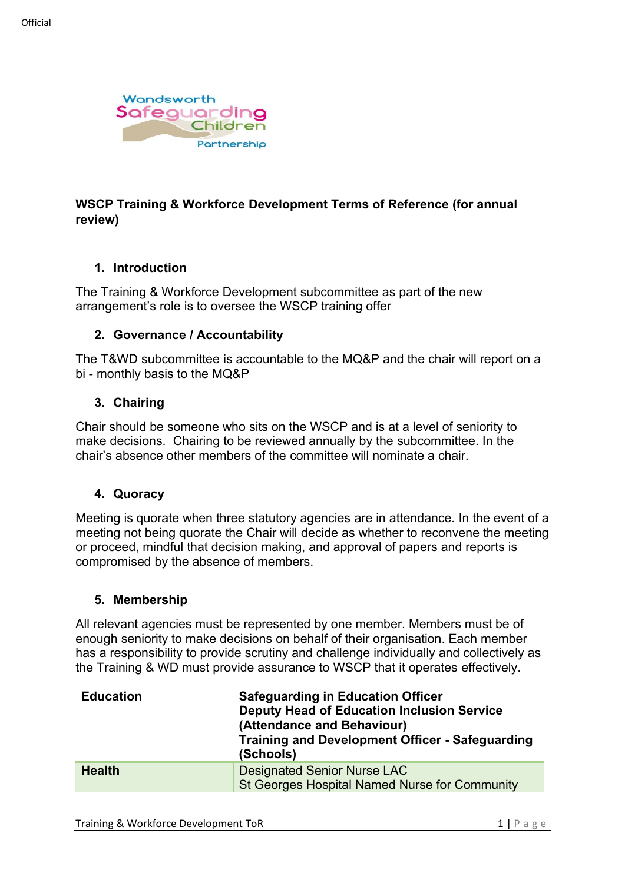

## **WSCP Training & Workforce Development Terms of Reference (for annual review)**

#### **1. Introduction**

The Training & Workforce Development subcommittee as part of the new arrangement's role is to oversee the WSCP training offer

#### **2. Governance / Accountability**

The T&WD subcommittee is accountable to the MQ&P and the chair will report on a bi - monthly basis to the MQ&P

#### **3. Chairing**

Chair should be someone who sits on the WSCP and is at a level of seniority to make decisions. Chairing to be reviewed annually by the subcommittee. In the chair's absence other members of the committee will nominate a chair.

#### **4. Quoracy**

Meeting is quorate when three statutory agencies are in attendance. In the event of a meeting not being quorate the Chair will decide as whether to reconvene the meeting or proceed, mindful that decision making, and approval of papers and reports is compromised by the absence of members.

#### **5. Membership**

All relevant agencies must be represented by one member. Members must be of enough seniority to make decisions on behalf of their organisation. Each member has a responsibility to provide scrutiny and challenge individually and collectively as the Training & WD must provide assurance to WSCP that it operates effectively.

| <b>Education</b> | <b>Safeguarding in Education Officer</b><br><b>Deputy Head of Education Inclusion Service</b><br>(Attendance and Behaviour)<br><b>Training and Development Officer - Safeguarding</b><br>(Schools) |
|------------------|----------------------------------------------------------------------------------------------------------------------------------------------------------------------------------------------------|
| <b>Health</b>    | <b>Designated Senior Nurse LAC</b><br>St Georges Hospital Named Nurse for Community                                                                                                                |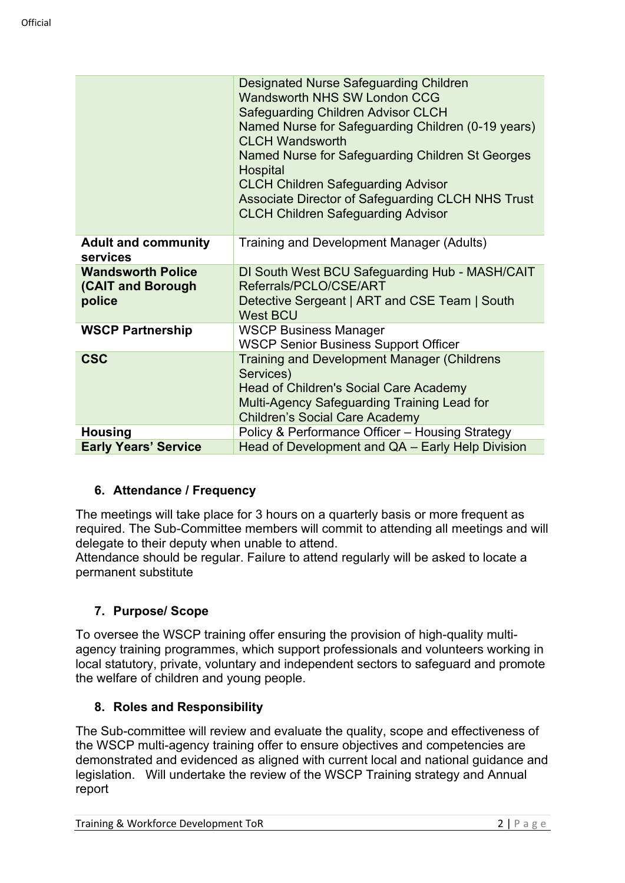|                                                         | Designated Nurse Safeguarding Children<br>Wandsworth NHS SW London CCG<br><b>Safeguarding Children Advisor CLCH</b><br>Named Nurse for Safeguarding Children (0-19 years)<br><b>CLCH Wandsworth</b><br>Named Nurse for Safeguarding Children St Georges<br>Hospital<br><b>CLCH Children Safeguarding Advisor</b><br>Associate Director of Safeguarding CLCH NHS Trust<br><b>CLCH Children Safeguarding Advisor</b> |
|---------------------------------------------------------|--------------------------------------------------------------------------------------------------------------------------------------------------------------------------------------------------------------------------------------------------------------------------------------------------------------------------------------------------------------------------------------------------------------------|
| <b>Adult and community</b><br>services                  | Training and Development Manager (Adults)                                                                                                                                                                                                                                                                                                                                                                          |
| <b>Wandsworth Police</b><br>(CAIT and Borough<br>police | DI South West BCU Safeguarding Hub - MASH/CAIT<br>Referrals/PCLO/CSE/ART<br>Detective Sergeant   ART and CSE Team   South<br><b>West BCU</b>                                                                                                                                                                                                                                                                       |
| <b>WSCP Partnership</b>                                 | <b>WSCP Business Manager</b><br><b>WSCP Senior Business Support Officer</b>                                                                                                                                                                                                                                                                                                                                        |
| <b>CSC</b>                                              | <b>Training and Development Manager (Childrens</b><br>Services)<br><b>Head of Children's Social Care Academy</b><br>Multi-Agency Safeguarding Training Lead for<br><b>Children's Social Care Academy</b>                                                                                                                                                                                                           |
| <b>Housing</b>                                          | Policy & Performance Officer - Housing Strategy                                                                                                                                                                                                                                                                                                                                                                    |
| <b>Early Years' Service</b>                             | Head of Development and QA - Early Help Division                                                                                                                                                                                                                                                                                                                                                                   |

# **6. Attendance / Frequency**

The meetings will take place for 3 hours on a quarterly basis or more frequent as required. The Sub-Committee members will commit to attending all meetings and will delegate to their deputy when unable to attend.

Attendance should be regular. Failure to attend regularly will be asked to locate a permanent substitute

### **7. Purpose/ Scope**

To oversee the WSCP training offer ensuring the provision of high-quality multiagency training programmes, which support professionals and volunteers working in local statutory, private, voluntary and independent sectors to safeguard and promote the welfare of children and young people.

### **8. Roles and Responsibility**

The Sub-committee will review and evaluate the quality, scope and effectiveness of the WSCP multi-agency training offer to ensure objectives and competencies are demonstrated and evidenced as aligned with current local and national guidance and legislation. Will undertake the review of the WSCP Training strategy and Annual report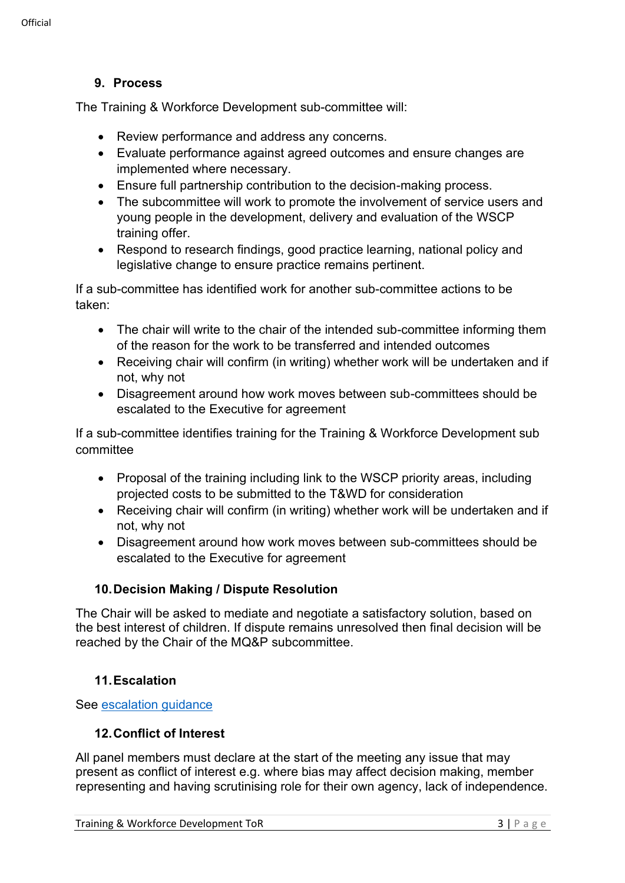### **9. Process**

The Training & Workforce Development sub-committee will:

- Review performance and address any concerns.
- Evaluate performance against agreed outcomes and ensure changes are implemented where necessary.
- Ensure full partnership contribution to the decision-making process.
- The subcommittee will work to promote the involvement of service users and young people in the development, delivery and evaluation of the WSCP training offer.
- Respond to research findings, good practice learning, national policy and legislative change to ensure practice remains pertinent.

If a sub-committee has identified work for another sub-committee actions to be taken:

- The chair will write to the chair of the intended sub-committee informing them of the reason for the work to be transferred and intended outcomes
- Receiving chair will confirm (in writing) whether work will be undertaken and if not, why not
- Disagreement around how work moves between sub-committees should be escalated to the Executive for agreement

If a sub-committee identifies training for the Training & Workforce Development sub committee

- Proposal of the training including link to the WSCP priority areas, including projected costs to be submitted to the T&WD for consideration
- Receiving chair will confirm (in writing) whether work will be undertaken and if not, why not
- Disagreement around how work moves between sub-committees should be escalated to the Executive for agreement

### **10.Decision Making / Dispute Resolution**

The Chair will be asked to mediate and negotiate a satisfactory solution, based on the best interest of children. If dispute remains unresolved then final decision will be reached by the Chair of the MQ&P subcommittee.

# **11.Escalation**

See [escalation guidance](https://wscp.org.uk/media/1329/inter_agency_escalation_policy-v2.docx)

### **12.Conflict of Interest**

All panel members must declare at the start of the meeting any issue that may present as conflict of interest e.g. where bias may affect decision making, member representing and having scrutinising role for their own agency, lack of independence.